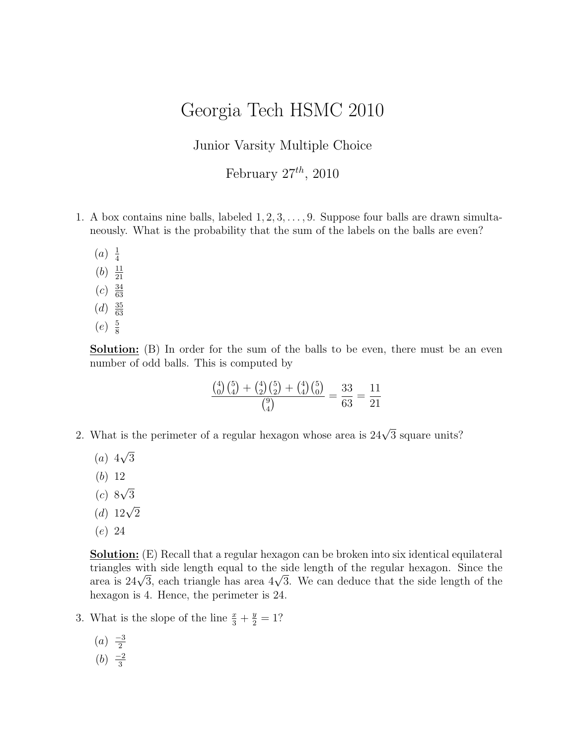## Georgia Tech HSMC 2010

Junior Varsity Multiple Choice

February  $27^{th}$ , 2010

- 1. A box contains nine balls, labeled  $1, 2, 3, \ldots, 9$ . Suppose four balls are drawn simultaneously. What is the probability that the sum of the labels on the balls are even?
	- $(a) \frac{1}{4}$ 4
	- $(b) \frac{11}{21}$ 21
	- $(c) \frac{34}{63}$
	- 63  $(d) \frac{35}{63}$
	- 63
	- $(e) \frac{5}{8}$ 8

**Solution:** (B) In order for the sum of the balls to be even, there must be an even number of odd balls. This is computed by

$$
\frac{\binom{4}{0}\binom{5}{4} + \binom{4}{2}\binom{5}{2} + \binom{4}{4}\binom{5}{0}}{\binom{9}{4}} = \frac{33}{63} = \frac{11}{21}
$$

- 2. What is the perimeter of a regular hexagon whose area is  $24\sqrt{3}$  square units?
	- $(a)$  4 √ 3
	- (b) 12
	- $(c)$  8 √ 3
	- (d)  $12\sqrt{2}$
	- (e) 24

Solution: (E) Recall that a regular hexagon can be broken into six identical equilateral triangles with side length equal to the side length of the regular hexagon. Since the triangles with side length equal to the side length of the regular nexagon. Since the<br>area is 24√3, each triangle has area 4√3. We can deduce that the side length of the hexagon is 4. Hence, the perimeter is 24.

- 3. What is the slope of the line  $\frac{x}{3} + \frac{y}{2} = 1$ ?
	- $(a) \frac{-3}{2}$ 2
	- $(b) \frac{-2}{3}$ 3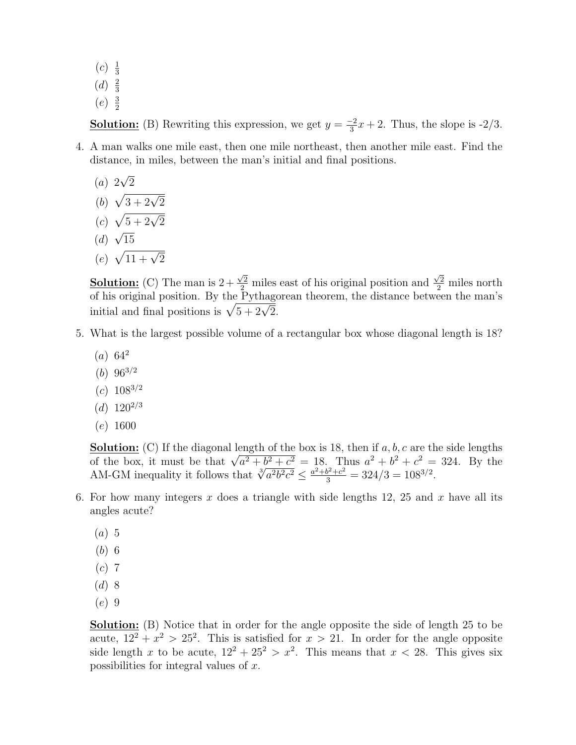- $(c) \frac{1}{3}$ 3
- $(d) \frac{2}{3}$ 3
- $(e) \frac{3}{2}$ 2

**Solution:** (B) Rewriting this expression, we get  $y = \frac{-2}{3}$  $\frac{-2}{3}x + 2$ . Thus, the slope is  $\frac{-2}{3}$ .

- 4. A man walks one mile east, then one mile northeast, then another mile east. Find the distance, in miles, between the man's initial and final positions.
	- (a) 2 √ 2
	- (b)  $-\sqrt{3 + 2\sqrt{2}}$
	- $(c)$  $\sqrt{5 + 2\sqrt{2}}$  $\mathbf{v}_{\alpha}$
	- (d) 15
	- (e)  $\sqrt{11 + \sqrt{2}}$

**Solution:** (C) The man is  $2 +$  $\frac{\sqrt{2}}{2}$  miles east of his original position and  $\frac{\sqrt{2}}{2}$  miles north of his original position. By the Pythagorean theorem, the distance between the man's of his original position. By the Pythago<br>initial and final positions is  $\sqrt{5 + 2\sqrt{2}}$ .

- 5. What is the largest possible volume of a rectangular box whose diagonal length is 18?
	- $(a) 64^2$
	- $(b) 96^{3/2}$
	- $(c) 108^{3/2}$
	- $(d)$  120<sup>2/3</sup>
	- (e) 1600

**Solution:** (C) If the diagonal length of the box is 18, then if  $a, b, c$  are the side lengths **Solution:** (C) If the diagonal length of the box is 18, then if a, b, c are the side lengths of the box, it must be that  $\sqrt{a^2 + b^2 + c^2} = 18$ . Thus  $a^2 + b^2 + c^2 = 324$ . By the AM-GM inequality it follows that  $\sqrt[3]{a^2b^$ 

- 6. For how many integers x does a triangle with side lengths 12, 25 and x have all its angles acute?
	- $(a)$  5
	- (b) 6
	- $(c)$  7
	- $(d)$  8
	- (e) 9

Solution: (B) Notice that in order for the angle opposite the side of length 25 to be acute,  $12^2 + x^2 > 25^2$ . This is satisfied for  $x > 21$ . In order for the angle opposite side length x to be acute,  $12^2 + 25^2 > x^2$ . This means that  $x < 28$ . This gives six possibilities for integral values of x.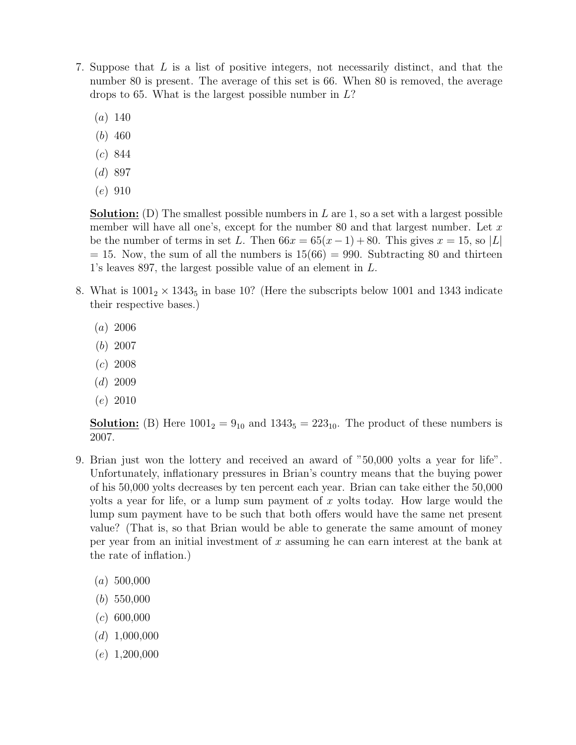- 7. Suppose that L is a list of positive integers, not necessarily distinct, and that the number 80 is present. The average of this set is 66. When 80 is removed, the average drops to 65. What is the largest possible number in  $L$ ?
	- $(a) 140$
	- (b) 460
	- (c) 844
	- $(d)$  897
	- (e) 910

**Solution:** (D) The smallest possible numbers in  $L$  are 1, so a set with a largest possible member will have all one's, except for the number 80 and that largest number. Let  $x$ be the number of terms in set L. Then  $66x = 65(x-1) + 80$ . This gives  $x = 15$ , so |L|  $= 15$ . Now, the sum of all the numbers is  $15(66) = 990$ . Subtracting 80 and thirteen 1's leaves 897, the largest possible value of an element in L.

- 8. What is  $1001<sub>2</sub> \times 1343<sub>5</sub>$  in base 10? (Here the subscripts below 1001 and 1343 indicate their respective bases.)
	- $(a) 2006$
	- (b) 2007
	- $(c)$  2008
	- $(d)$  2009
	- (e) 2010

**Solution:** (B) Here  $1001_2 = 9_{10}$  and  $1343_5 = 223_{10}$ . The product of these numbers is 2007.

- 9. Brian just won the lottery and received an award of "50,000 yolts a year for life". Unfortunately, inflationary pressures in Brian's country means that the buying power of his 50,000 yolts decreases by ten percent each year. Brian can take either the 50,000 yolts a year for life, or a lump sum payment of  $x$  yolts today. How large would the lump sum payment have to be such that both offers would have the same net present value? (That is, so that Brian would be able to generate the same amount of money per year from an initial investment of  $x$  assuming he can earn interest at the bank at the rate of inflation.)
	- $(a) 500,000$
	- (b) 550,000
	- $(c)$  600,000
	- $(d)$  1,000,000
	- $(e)$  1,200,000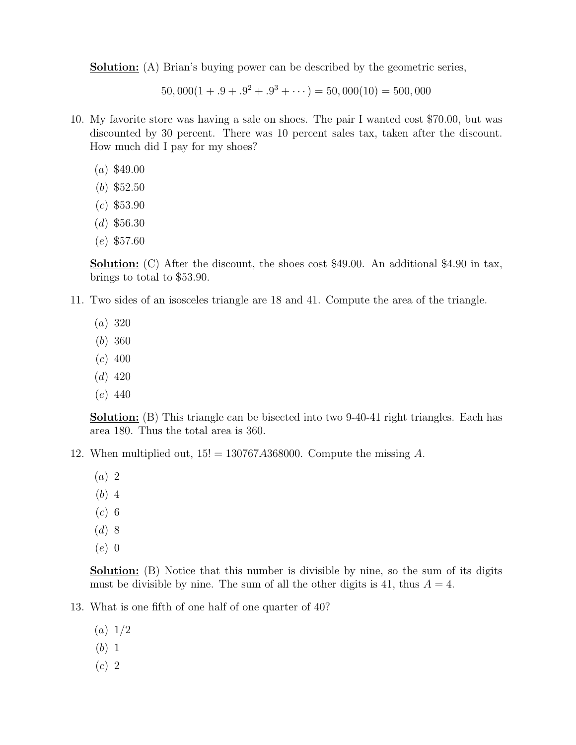**Solution:** (A) Brian's buying power can be described by the geometric series,

 $50,000(1+.9+.9<sup>2</sup>+.9<sup>3</sup>+...)=50,000(10)=500,000$ 

- 10. My favorite store was having a sale on shoes. The pair I wanted cost \$70.00, but was discounted by 30 percent. There was 10 percent sales tax, taken after the discount. How much did I pay for my shoes?
	- $(a)$  \$49.00
	- (b) \$52.50
	- $(c)$  \$53.90
	- $(d)$  \$56.30
	- (e) \$57.60

Solution: (C) After the discount, the shoes cost \$49.00. An additional \$4.90 in tax, brings to total to \$53.90.

- 11. Two sides of an isosceles triangle are 18 and 41. Compute the area of the triangle.
	- (a) 320
	- (b) 360
	- $(c)$  400
	- $(d)$  420
	- (e) 440

**Solution:** (B) This triangle can be bisected into two 9-40-41 right triangles. Each has area 180. Thus the total area is 360.

- 12. When multiplied out,  $15! = 130767A368000$ . Compute the missing A.
	- (a) 2
	- (b) 4
	- $(c)$  6
	- (d) 8
	- (e) 0

Solution: (B) Notice that this number is divisible by nine, so the sum of its digits must be divisible by nine. The sum of all the other digits is 41, thus  $A = 4$ .

- 13. What is one fifth of one half of one quarter of 40?
	- $(a) 1/2$
	- (b) 1
	- (c) 2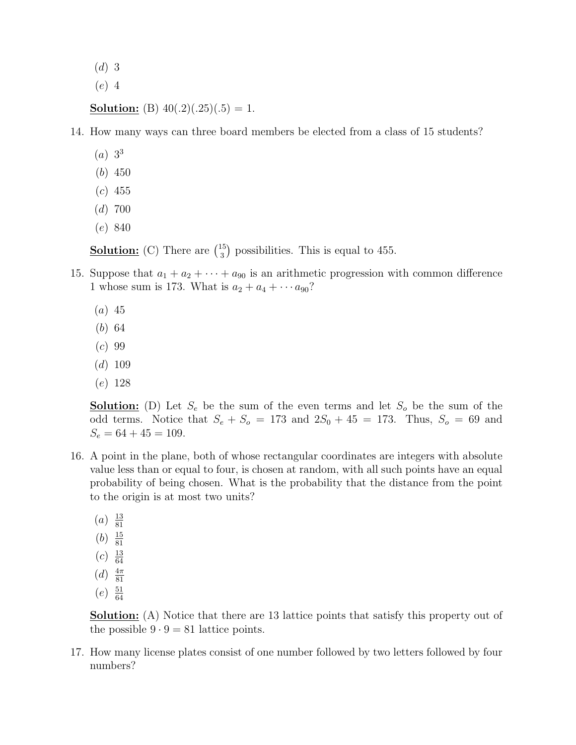- $(d)$  3
- (e) 4

**Solution:** (B)  $40(.2)(.25)(.5) = 1$ .

14. How many ways can three board members be elected from a class of 15 students?

- $(a) 3^3$
- (b) 450
- $(c)$  455
- $(d)$  700
- (e) 840

**Solution:** (C) There are  $\binom{15}{3}$ 3 ¢ possibilities. This is equal to 455.

- 15. Suppose that  $a_1 + a_2 + \cdots + a_{90}$  is an arithmetic progression with common difference 1 whose sum is 173. What is  $a_2 + a_4 + \cdots + a_{90}$ ?
	- $(a)$  45
	- (b) 64
	- $(c) 99$
	- $(d)$  109
	- (e) 128

**Solution:** (D) Let  $S_e$  be the sum of the even terms and let  $S_o$  be the sum of the odd terms. Notice that  $S_e + S_o = 173$  and  $2S_0 + 45 = 173$ . Thus,  $S_o = 69$  and  $S_e = 64 + 45 = 109.$ 

- 16. A point in the plane, both of whose rectangular coordinates are integers with absolute value less than or equal to four, is chosen at random, with all such points have an equal probability of being chosen. What is the probability that the distance from the point to the origin is at most two units?
	- $(a) \frac{13}{81}$ 81
	- $(b) \frac{15}{81}$
	- 81  $(c) \frac{13}{64}$
	- 64
	- $(d) \frac{4\pi}{81}$ 81
	- $(e)$   $\frac{51}{64}$ 64

**Solution:** (A) Notice that there are 13 lattice points that satisfy this property out of the possible  $9 \cdot 9 = 81$  lattice points.

17. How many license plates consist of one number followed by two letters followed by four numbers?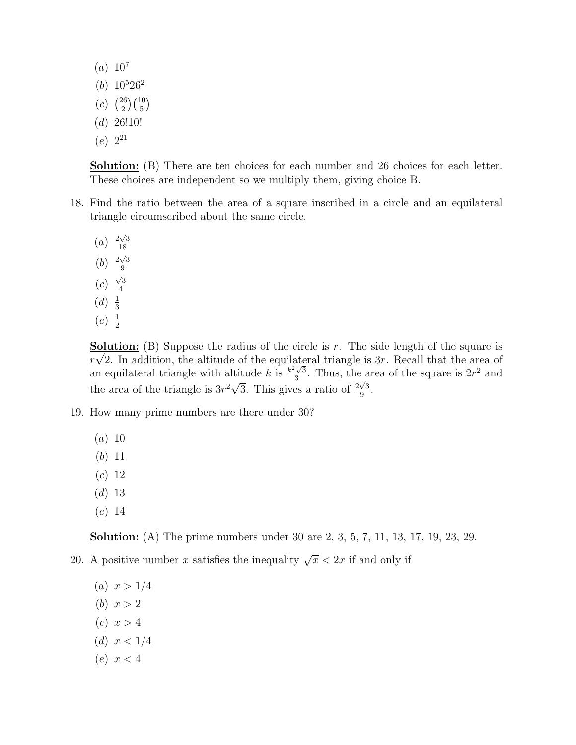$(a) 10^7$  $(b) 10^5 26^2$  $(c)$  $\frac{1}{26}$ 2  $(10)$ 5 ¢  $(d)$  26!10!  $(e) 2^{21}$ 

**Solution:** (B) There are ten choices for each number and 26 choices for each letter. These choices are independent so we multiply them, giving choice B.

- 18. Find the ratio between the area of a square inscribed in a circle and an equilateral triangle circumscribed about the same circle.
	- $(a) \frac{2\sqrt{3}}{18}$ 18 (b)  $\frac{2\sqrt{3}}{9}$ 9  $(c)$  $\sqrt{3}$ 4  $(d) \frac{1}{2}$ 3  $(e) \frac{1}{2}$ 2

**Solution:** (B) Suppose the radius of the circle is r. The side length of the square is  $r\sqrt{2}$ . In addition, the altitude of the equilateral triangle is 3r. Recall that the area of an equilateral triangle with altitude k is  $\frac{k^2\sqrt{3}}{3}$ It itude k is  $\frac{k^2\sqrt{3}}{3}$ . Thus, the area of the square is  $2r^2$  and the area of the triangle is  $3r^2\sqrt{3}$ . This gives a ratio of  $\frac{2\sqrt{3}}{9}$  $\frac{\sqrt{3}}{9}$ .

- 19. How many prime numbers are there under 30?
	- $(a) 10$
	- (b) 11
	- (c) 12
	- $(d)$  13
	- (e) 14

**Solution:** (A) The prime numbers under 30 are 2, 3, 5, 7, 11, 13, 17, 19, 23, 29.

- 20. A positive number x satisfies the inequality  $\sqrt{x}$  < 2x if and only if
	- (a)  $x > 1/4$
	- (*b*)  $x > 2$
	- (c)  $x > 4$
	- (d)  $x < 1/4$
	- (e)  $x < 4$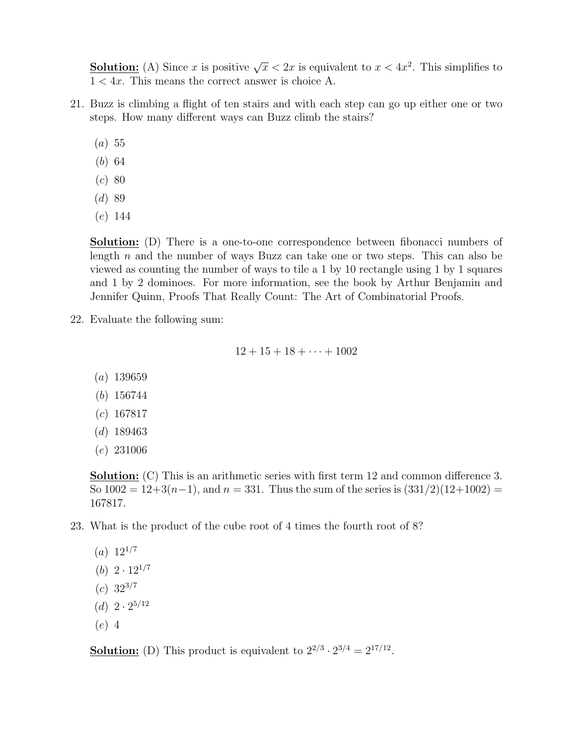**Solution:** (A) Since x is positive  $\sqrt{x}$  < 2x is equivalent to  $x$  < 4x<sup>2</sup>. This simplifies to  $1 < 4x$ . This means the correct answer is choice A.

- 21. Buzz is climbing a flight of ten stairs and with each step can go up either one or two steps. How many different ways can Buzz climb the stairs?
	- $(a) 55$
	- (b) 64
	- $(c) 80$
	- $(d)89$
	- (e) 144

Solution: (D) There is a one-to-one correspondence between fibonacci numbers of length n and the number of ways Buzz can take one or two steps. This can also be viewed as counting the number of ways to tile a 1 by 10 rectangle using 1 by 1 squares and 1 by 2 dominoes. For more information, see the book by Arthur Benjamin and Jennifer Quinn, Proofs That Really Count: The Art of Combinatorial Proofs.

22. Evaluate the following sum:

 $12 + 15 + 18 + \cdots + 1002$ 

- (a) 139659
- (b) 156744
- $(c)$  167817
- $(d)$  189463
- (e) 231006

**Solution:** (C) This is an arithmetic series with first term 12 and common difference 3. So  $1002 = 12+3(n-1)$ , and  $n = 331$ . Thus the sum of the series is  $(331/2)(12+1002) =$ 167817.

23. What is the product of the cube root of 4 times the fourth root of 8?

- $(a) 12^{1/7}$
- (b)  $2 \cdot 12^{1/7}$
- $(c)$  32<sup>3/7</sup>
- (d)  $2 \cdot 2^{5/12}$
- (e) 4

**Solution:** (D) This product is equivalent to  $2^{2/3} \cdot 2^{3/4} = 2^{17/12}$ .